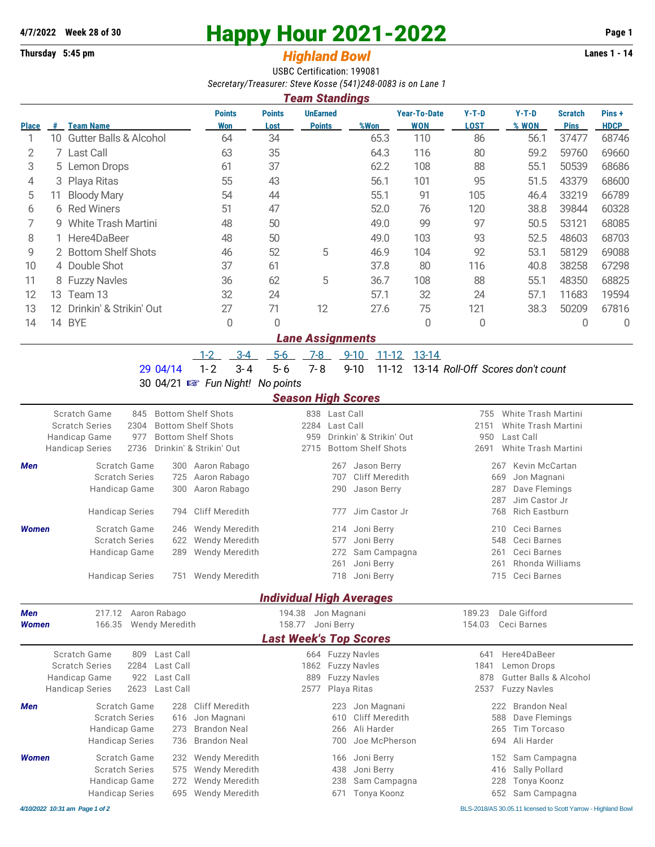# **4/7/2022 Week 28 of 30 Happy Hour 2021-2022 Page 1**

# **Thursday 5:45 pm** *Highland Bowl* **Lanes 1 - 14**

USBC Certification: 199081 *Secretary/Treasurer: Steve Kosse (541)248-0083 is on Lane 1*

|              | <b>Team Standings</b> |                                   |                      |                       |                                  |      |                                   |                        |                  |                               |                      |  |  |
|--------------|-----------------------|-----------------------------------|----------------------|-----------------------|----------------------------------|------|-----------------------------------|------------------------|------------------|-------------------------------|----------------------|--|--|
| <b>Place</b> | #                     | <b>Team Name</b>                  | <b>Points</b><br>Won | <b>Points</b><br>Lost | <b>UnEarned</b><br><b>Points</b> | %Won | <b>Year-To-Date</b><br><b>WON</b> | $Y-T-D$<br><b>LOST</b> | $Y-T-D$<br>% WON | <b>Scratch</b><br><b>Pins</b> | Pins+<br><b>HDCP</b> |  |  |
|              | 10.                   | <b>Gutter Balls &amp; Alcohol</b> | 64                   | 34                    |                                  | 65.3 | 110                               | 86                     | 56.1             | 37477                         | 68746                |  |  |
| 2            |                       | 7 Last Call                       | 63                   | 35                    |                                  | 64.3 | 116                               | 80                     | 59.2             | 59760                         | 69660                |  |  |
| 3            |                       | 5 Lemon Drops                     | 61                   | 37                    |                                  | 62.2 | 108                               | 88                     | 55.1             | 50539                         | 68686                |  |  |
| 4            |                       | 3 Playa Ritas                     | 55                   | 43                    |                                  | 56.1 | 101                               | 95                     | 51.5             | 43379                         | 68600                |  |  |
| 5            | 11                    | <b>Bloody Mary</b>                | 54                   | 44                    |                                  | 55.1 | 91                                | 105                    | 46.4             | 33219                         | 66789                |  |  |
| 6            |                       | 6 Red Winers                      | 51                   | 47                    |                                  | 52.0 | 76                                | 120                    | 38.8             | 39844                         | 60328                |  |  |
|              |                       | 9 White Trash Martini             | 48                   | 50                    |                                  | 49.0 | 99                                | 97                     | 50.5             | 53121                         | 68085                |  |  |
| 8            |                       | 1 Here4DaBeer                     | 48                   | 50                    |                                  | 49.0 | 103                               | 93                     | 52.5             | 48603                         | 68703                |  |  |
| 9            |                       | 2 Bottom Shelf Shots              | 46                   | 52                    | 5                                | 46.9 | 104                               | 92                     | 53.1             | 58129                         | 69088                |  |  |
| 10           |                       | 4 Double Shot                     | 37                   | 61                    |                                  | 37.8 | 80                                | 116                    | 40.8             | 38258                         | 67298                |  |  |
| 11           |                       | 8 Fuzzy Navles                    | 36                   | 62                    | 5                                | 36.7 | 108                               | 88                     | 55.1             | 48350                         | 68825                |  |  |
| 12           | 13.                   | Team 13                           | 32                   | 24                    |                                  | 57.1 | 32                                | 24                     | 57.1             | 11683                         | 19594                |  |  |
| 13           | 12.                   | Drinkin' & Strikin' Out           | 27                   | 71                    | 12                               | 27.6 | 75                                | 121                    | 38.3             | 50209                         | 67816                |  |  |
| 14           | 14                    | <b>BYE</b>                        | 0                    | 0                     |                                  |      | 0                                 | 0                      |                  | 0                             | 0                    |  |  |
|              |                       |                                   |                      |                       | ano Accianmonte                  |      |                                   |                        |                  |                               |                      |  |  |

#### *Lane Assignments*

1-2 3-4 5-6 7-8 9-10 11-12 13-14

29 04/14 1- 2 3- 4 5- 6 7- 8 9-10 11-12 13-14 *Roll-Off Scores don't count*

### 30 04/21 { *Fun Night! No points*

#### *Season High Scores*

| <b>Scratch Series</b><br>Handicap Game<br><b>Handicap Series</b> | Scratch Game<br>845<br>2304<br>977<br>2736                                       |                                                  | <b>Bottom Shelf Shots</b><br><b>Bottom Shelf Shots</b><br><b>Bottom Shelf Shots</b><br>Drinkin' & Strikin' Out | 2284<br>959<br>2715                               | 838 Last Call<br>Last Call      | Drinkin' & Strikin' Out<br><b>Bottom Shelf Shots</b>                 | 755<br>2151<br>950<br>2691 | <b>White Trash Martini</b><br><b>White Trash Martini</b><br>Last Call<br>White Trash Martini                               |
|------------------------------------------------------------------|----------------------------------------------------------------------------------|--------------------------------------------------|----------------------------------------------------------------------------------------------------------------|---------------------------------------------------|---------------------------------|----------------------------------------------------------------------|----------------------------|----------------------------------------------------------------------------------------------------------------------------|
| Men                                                              | Scratch Game<br><b>Scratch Series</b><br>Handicap Game<br><b>Handicap Series</b> | 300<br>725<br>300<br>794                         | Aaron Rabago<br>Aaron Rabago<br>Aaron Rabago<br><b>Cliff Meredith</b>                                          |                                                   | 267<br>707<br>290<br>777        | Jason Berry<br>Cliff Meredith<br>Jason Berry<br>Jim Castor Jr        |                            | Kevin McCartan<br>267<br>Jon Magnani<br>669<br>287<br>Dave Flemings<br>Jim Castor Jr<br>287<br><b>Rich Eastburn</b><br>768 |
| Women                                                            | Scratch Game<br><b>Scratch Series</b><br>Handicap Game<br><b>Handicap Series</b> | 246<br>622<br>289<br>751                         | <b>Wendy Meredith</b><br>Wendy Meredith<br>Wendy Meredith<br>Wendy Meredith                                    |                                                   | 214<br>577<br>272<br>261<br>718 | Joni Berry<br>Joni Berry<br>Sam Campagna<br>Joni Berry<br>Joni Berry |                            | Ceci Barnes<br>210<br>Ceci Barnes<br>548<br>Ceci Barnes<br>261<br>Rhonda Williams<br>261<br>Ceci Barnes<br>715             |
|                                                                  |                                                                                  |                                                  |                                                                                                                | <b>Individual High Averages</b>                   |                                 |                                                                      |                            |                                                                                                                            |
| <b>Men</b><br><b>Women</b>                                       | 217.12<br>166.35                                                                 | Aaron Rabago<br><b>Wendy Meredith</b>            |                                                                                                                | 194.38<br>158.77<br><b>Last Week's Top Scores</b> | Jon Magnani<br>Joni Berry       |                                                                      | 189.23<br>154.03           | Dale Gifford<br>Ceci Barnes                                                                                                |
| <b>Scratch Series</b><br>Handicap Game<br><b>Handicap Series</b> | Scratch Game<br>809<br>2284<br>922<br>2623                                       | Last Call<br>Last Call<br>Last Call<br>Last Call |                                                                                                                | 1862<br>889<br>2577                               | Playa Ritas                     | 664 Fuzzy Navles<br><b>Fuzzy Navles</b><br><b>Fuzzy Navles</b>       | 641<br>1841<br>878<br>2537 | Here4DaBeer<br>Lemon Drops<br><b>Gutter Balls &amp; Alcohol</b><br><b>Fuzzy Navles</b>                                     |
| <b>Men</b>                                                       | Scratch Game<br><b>Scratch Series</b><br>Handicap Game<br><b>Handicap Series</b> | 228<br>616<br>273<br>736                         | <b>Cliff Meredith</b><br>Jon Magnani<br><b>Brandon Neal</b><br><b>Brandon Neal</b>                             |                                                   | 223<br>610<br>266<br>700        | Jon Magnani<br><b>Cliff Meredith</b><br>Ali Harder<br>Joe McPherson  |                            | <b>Brandon Neal</b><br>222<br>Dave Flemings<br>588<br>265<br>Tim Torcaso<br>Ali Harder<br>694                              |
| <b>Women</b>                                                     | Scratch Game<br><b>Scratch Series</b><br>Handicap Game<br><b>Handicap Series</b> | 232<br>575<br>272<br>695                         | <b>Wendy Meredith</b><br>Wendy Meredith<br>Wendy Meredith<br><b>Wendy Meredith</b>                             |                                                   | 166<br>438<br>238<br>671        | Joni Berry<br>Joni Berry<br>Sam Campagna<br>Tonya Koonz              |                            | Sam Campagna<br>152<br>Sally Pollard<br>416<br>228<br>Tonya Koonz<br>652<br>Sam Campagna                                   |

*4/10/2022 10:31 am Page 1 of 2* BLS-2018/AS 30.05.11 licensed to Scott Yarrow - Highland Bowl